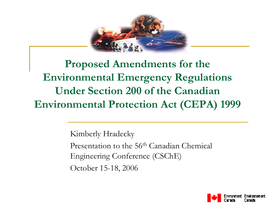

#### **Proposed Amendments for the Environmental Emergency Regulations Under Section 200 of the Canadian Environmental Protection Act (CEPA) 1999**

Kimberly Hradecky Presentation to the 56<sup>th</sup> Canadian Chemical Engineering Conference (CSChE) October 15-18, 2006

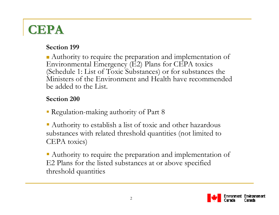#### **CEPA**

#### **Section 199**

Authority to require the preparation and implementation of Environmental Emergency (E2) Plans for CEPA toxics (Schedule 1: List of Toxic Substances) or for substances the Ministers of the Environment and Health have recommended be added to the List.

#### **Section 200**

- Regulation-making authority of Part 8
- Authority to establish a list of toxic and other hazardous substances with related threshold quantities (not limited to CEPA toxics)

 Authority to require the preparation and implementation of E2 Plans for the listed substances at or above specified threshold quantities

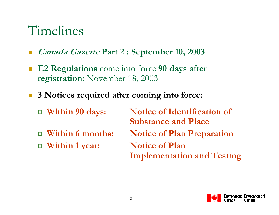#### Timelines

- E **Canada Gazette Part 2 : September 10, 2003**
- **E2 Regulations** come into force **90 days after registration:** November 18, 2003
- **3 Notices required after coming into force:**
	- $\Box$  Within 90 days: **Notice of Identification of Substance and Place**  $\Box$  **Within 6 months: Notice of Plan Preparation Within 1 year: Notice of Plan Implementation and Testing**

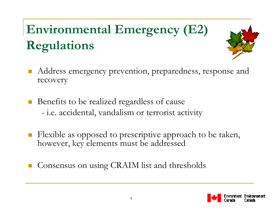## **Environmental Emergency (E2) Regulations**



- Address emergency prevention, preparedness, response and recovery
- $\mathcal{L}_{\mathcal{A}}$  Benefits to be realized regardless of cause i.e. accidental, vandalism or terrorist activity
- E Flexible as opposed to prescriptive approach to be taken, however, key elements must be addressed
- Consensus on using CRAIM list and thresholds

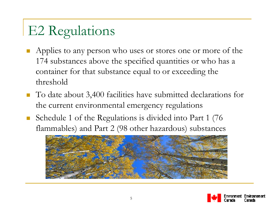## E2 Regulations

- Applies to any person who uses or stores one or more of the 174 substances above the specified quantities or who has a container for that substance equal to or exceeding the threshold
- To date about 3,400 facilities have submitted declarations for the current environmental emergency regulations
- $\overline{\mathbb{R}}$  Schedule 1 of the Regulations is divided into Part 1 (76 flammables) and Part 2 (98 other hazardous) substances



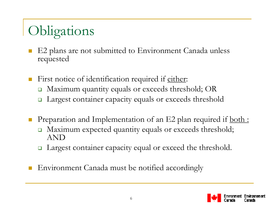# Obligations

- E2 plans are not submitted to Environment Canada unless requested
- $\mathcal{L}^{\text{max}}$ First notice of identification required if either:
	- $\Box$ Maximum quantity equals or exceeds threshold; OR
	- $\Box$ Largest container capacity equals or exceeds threshold
- Preparation and Implementation of an E2 plan required if <u>both:</u>
	- Maximum expected quantity equals or exceeds threshold; AND
	- $\Box$ Largest container capacity equal or exceed the threshold.
- Environment Canada must be notified accordingly

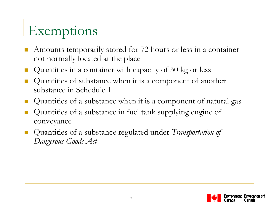## Exemptions

- $\overline{\mathbb{R}}$  Amounts temporarily stored for 72 hours or less in a container not normally located at the place
- Quantities in a container with capacity of 30 kg or less
- L. Quantities of substance when it is a component of another substance in Schedule 1
- Quantities of a substance when it is a component of natural gas
- $\overline{\mathbb{R}}$  Quantities of a substance in fuel tank supplying engine of conveyance
- Quantities of a substance regulated under *Transportation of Dangerous Goods Act*

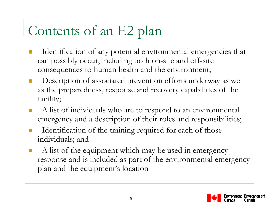## Contents of an E2 plan

- Identification of any potential environmental emergencies that can possibly occur, including both on-site and off-site consequences to human health and the environment;
- $\mathcal{O}(\mathbb{R}^d)$  Description of associated prevention efforts underway as well as the preparedness, response and recovery capabilities of the facility;
- A list of individuals who are to respond to an environmental emergency and a description of their roles and responsibilities;
- Identification of the training required for each of those individuals; and
- F A list of the equipment which may be used in emergency response and is included as part of the environmental emergency plan and the equipment's location

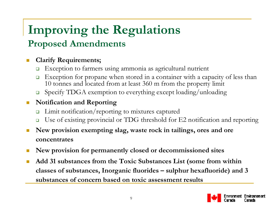# **Improving the Regulations**

#### **Proposed Amendments**

#### $\mathcal{L}_{\mathcal{A}}$ **Clarify Requirements;**

- $\Box$ Exception to farmers using ammonia as agricultural nutrient
- $\Box$  Exception for propane when stored in a container with a capacity of less than 10 tonnes and located from at least 360 m from the property limit
- $\Box$ Specify TDGA exemption to everything except loading/unloading

#### $\mathcal{C}^{\mathcal{A}}$ **Notification and Reporting**

- $\Box$ Limit notification/reporting to mixtures captured
- $\Box$ Use of existing provincial or TDG threshold for E2 notification and reporting
- × **New provision exempting slag, waste rock in tailings, ores and ore concentrates**
- $\mathcal{L}(\mathcal{A})$ **New provision for permanently closed or decommissioned sites**
- × **Add 31 substances from the Toxic Substances List (some from within classes of substances, Inorganic fluorides – sulphur hexafluoride) and 3 substances of concern based on toxic assessment results**

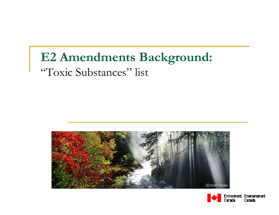#### **E2 Amendments Background:** "Toxic Substances" list



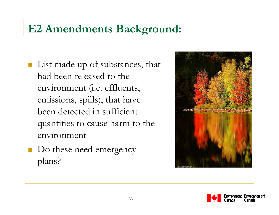#### **E2 Amendments Background:**

- **List made up of substances, that** had been released to the environment (i.e. effluents, emissions, spills), that have been detected in sufficient quantities to cause harm to the environment
- Do these need emergency plans?



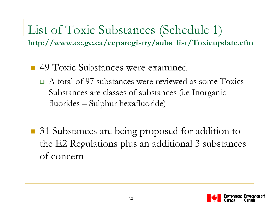List of Toxic Substances (Schedule 1) **http://www.ec.gc.ca/ceparegistry/subs\_list/Toxicupdate.cfm**

- 49 Toxic Substances were examined
	- A total of 97 substances were reviewed as some Toxics Substances are classes of substances (i.e Inorganic fluorides – Sulphur hexafluoride)
- 31 Substances are being proposed for addition to the E2 Regulations plus an additional 3 substances of concern

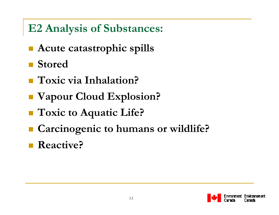#### **E2 Analysis of Substances:**

- **Acute catastrophic spills**
- **Stored**
- Toxic via Inhalation?
- **Vapour Cloud Explosion?**
- **Toxic to Aquatic Life?**
- **Carcinogenic to humans or wildlife?**
- Reactive?

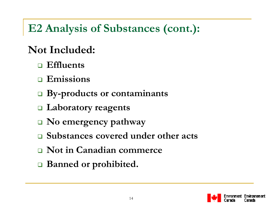#### **E2 Analysis of Substances (cont.):**

#### **Not Included:**

- **Effluents**
- **Emissions**
- **By-products or contaminants**
- **Laboratory reagents**
- **No emergency pathway**
- **Substances covered under other acts**
- **Not in Canadian commerce**
- **Banned or prohibited.**

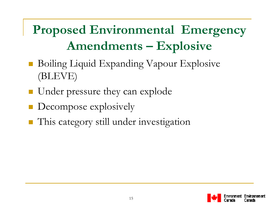#### **Proposed Environmental Emergency Amendments – Explosive**

- Boiling Liquid Expanding Vapour Explosive (BLEVE)
- **Under pressure they can explode**
- **Decompose explosively**
- **This category still under investigation**

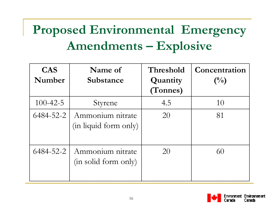### **Proposed Environmental Emergency Amendments – Explosive**

| <b>CAS</b><br>Number | Name of<br>Substance                      | Threshold<br>Quantity<br>(Tonnes) | Concentration<br>$\binom{0}{0}$ |
|----------------------|-------------------------------------------|-----------------------------------|---------------------------------|
| $100 - 42 - 5$       | Styrene                                   | 4.5                               | 10                              |
| 6484-52-2            | Ammonium nitrate<br>(in liquid form only) | 20                                | 81                              |
| 6484-52-2            | Ammonium nitrate<br>(in solid form only)  | 20                                | 60                              |

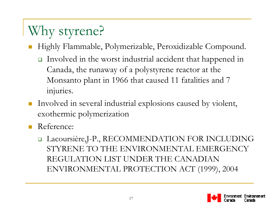# Why styrene?

- F Highly Flammable, Polymerizable, Peroxidizable Compound.
	- Involved in the worst industrial accident that happened in Canada, the runaway of a polystyrene reactor at the Monsanto plant in 1966 that caused 11 fatalities and 7 injuries.
- F Involved in several industrial explosions caused by violent, exothermic polymerization
- F Reference:
	- □ Lacoursière,J-P., RECOMMENDATION FOR INCLUDING STYRENE TO THE ENVIRONMENTAL EMERGENCY REGULATION LIST UNDER THE CANADIAN ENVIRONMENTAL PROTECTION ACT (1999), 2004

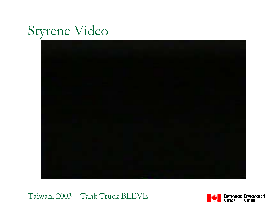### Styrene Video



Taiwan, 2003 – Tank Truck BLEVE

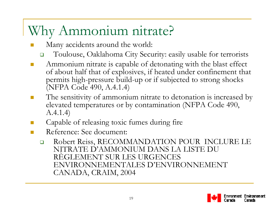## Why Ammonium nitrate?

- ٦ Many accidents around the world:
	- $\Box$ Toulouse, Oaklahoma City Security: easily usable for terrorists
- a a Ammonium nitrate is capable of detonating with the blast effect of about half that of explosives, if heated under confinement that permits high-pressure build-up or if subjected to strong shocks (NFPA Code 490, A.4.1.4)
- $\mathbb{R}^3$  The sensitivity of ammonium nitrate to detonation is increased by elevated temperatures or by contamination (NFPA Code 490, A.4.1.4)
- $\mathcal{L}_{\mathcal{A}}$ Capable of releasing toxic fumes during fire
- **The State**  Reference: See document:
	- $\Box$  Robert Reiss, RECOMMANDATION POUR INCLURE LE NITRATE D'AMMONIUM DANS LA LISTE DU RÈGLEMENT SUR LES URGENCES ENVIRONNEMENTALES D'ENVIRONNEMENT CANADA, CRAIM, 2004

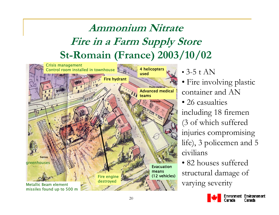#### **Ammonium NitrateFire in a Farm Supply Store St-Romain (France) 2003/10/02**



• 3-5 t  $AN$ 

- Fire involving plastic container and AN
- 26 casualties including 18 firemen (3 of which suffered injuries compromising life), 3 policemen and 5 civilians

• 82 houses suffered structural damage of varying severity

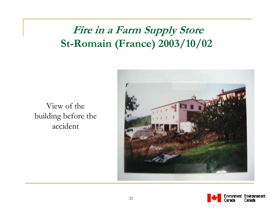#### **Fire in a Farm Supply Store St-Romain (France) 2003/10/02**

View of the building before the accident



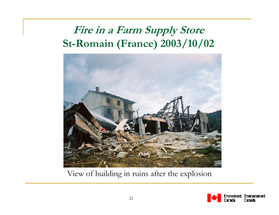#### **Fire in a Farm Supply Store St-Romain (France) 2003/10/02**



View of building in ruins after the explosion

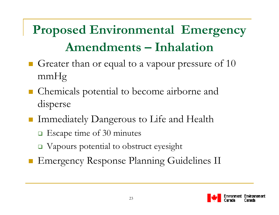## **Proposed Environmental Emergency Amendments – Inhalation**

- Greater than or equal to a vapour pressure of  $10$ mmHg
- Chemicals potential to become airborne and disperse
- Immediately Dangerous to Life and Health
	- **□** Escape time of 30 minutes
	- Vapours potential to obstruct eyesight
- **Emergency Response Planning Guidelines II**

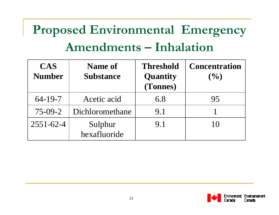## **Proposed Environmental Emergency Amendments – Inhalation**

| <b>CAS</b><br><b>Number</b> | Name of<br><b>Substance</b> | <b>Threshold</b><br>Quantity<br>(Tonnes) | <b>Concentration</b><br>(9/0) |
|-----------------------------|-----------------------------|------------------------------------------|-------------------------------|
| $64 - 19 - 7$               | Acetic acid                 | 6.8                                      | 95                            |
| $75-09-2$                   | Dichloromethane             | 9.1                                      |                               |
| $2551 - 62 - 4$             | Sulphur<br>hexafluoride     | 9.1                                      | 10                            |

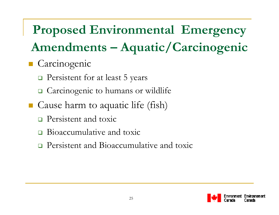- **Carcinogenic** 
	- **Persistent for at least 5 years**
	- **□** Carcinogenic to humans or wildlife
- Cause harm to aquatic life (fish)
	- **Persistent and toxic**
	- $\Box$ Bioaccumulative and toxic
	- $\Box$ Persistent and Bioaccumulative and toxic

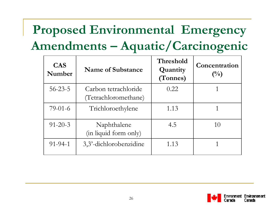| <b>CAS</b><br>Number | Name of Substance                            | Threshold<br>Quantity<br>(Tonnes) | Concentration<br>$\binom{0}{0}$ |
|----------------------|----------------------------------------------|-----------------------------------|---------------------------------|
| $56 - 23 - 5$        | Carbon tetrachloride<br>(Tetrachloromethane) | 0.22                              |                                 |
| $79-01-6$            | Trichloroethylene                            | 1.13                              |                                 |
| $91 - 20 - 3$        | Naphthalene<br>(in liquid form only)         | 4.5                               | 10                              |
| $91 - 94 - 1$        | 3,3'-dichlorobenzidine                       | 1.13                              |                                 |

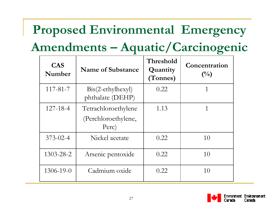## **Proposed Environmental Emergency**

#### **Amendments – Aquatic/Carcinogenic**

| <b>CAS</b><br>Number | <b>Name of Substance</b>                               | Threshold<br>Quantity<br>(Tonnes) | Concentration<br>$\binom{0}{0}$ |
|----------------------|--------------------------------------------------------|-----------------------------------|---------------------------------|
| $117 - 81 - 7$       | $\operatorname{Bis}(2-ethylhexyl)$<br>phthalate (DEHP) | 0.22                              | 1                               |
| $127 - 18 - 4$       | Tetrachloroethylene<br>(Perchloroethylene,<br>Perc)    | 1.13                              | 1                               |
| $373 - 02 - 4$       | Nickel acetate                                         | 0.22                              | 10                              |
| 1303-28-2            | Arsenic pentoxide                                      | 0.22                              | 10                              |
| 1306-19-0            | Cadmium oxide                                          | 0.22                              | 10                              |

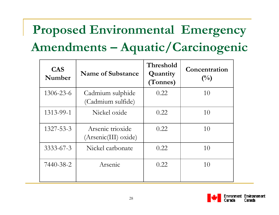| <b>CAS</b><br>Number | <b>Name of Substance</b>                 | Threshold<br>Quantity<br>(Tonnes) | Concentration<br>$\binom{0}{0}$ |
|----------------------|------------------------------------------|-----------------------------------|---------------------------------|
| 1306-23-6            | Cadmium sulphide<br>(Cadmium sulfide)    | 0.22                              | 10                              |
| 1313-99-1            | Nickel oxide                             | 0.22                              | 10                              |
| 1327-53-3            | Arsenic trioxide<br>(Arsenic(III) oxide) | 0.22                              | 10                              |
| $3333 - 67 - 3$      | Nickel carbonate                         | 0.22                              | 10                              |
| 7440-38-2            | Arsenic                                  | 0.22                              | 10                              |

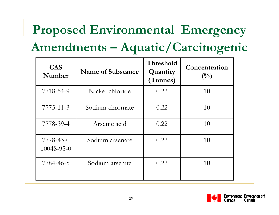| <b>CAS</b><br>Number    | <b>Name of Substance</b> | Threshold<br>Quantity<br>(Tonnes) | Concentration<br>$\binom{0}{0}$ |
|-------------------------|--------------------------|-----------------------------------|---------------------------------|
| 7718-54-9               | Nickel chloride          | 0.22                              | 10                              |
| $7775 - 11 - 3$         | Sodium chromate          | 0.22                              | 10                              |
| 7778-39-4               | Arsenic acid             | 0.22                              | 10                              |
| 7778-43-0<br>10048-95-0 | Sodium arsenate          | 0.22                              | 10                              |
| 7784-46-5               | Sodium arsenite          | 0.22                              | 10                              |

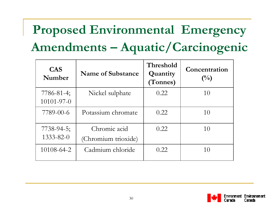| <b>CAS</b><br>Number                  | <b>Name of Substance</b>            | Threshold<br>Quantity<br>(Tonnes) | Concentration<br>$\binom{0}{0}$ |
|---------------------------------------|-------------------------------------|-----------------------------------|---------------------------------|
| $7786 - 81 - 4$ ;<br>$10101 - 97 - 0$ | Nickel sulphate                     | 0.22                              | 10                              |
| 7789-00-6                             | Potassium chromate                  | 0.22                              | 10                              |
| $7738 - 94 - 5$ ;<br>$1333 - 82 - 0$  | Chromic acid<br>(Chromium trioxide) | 0.22                              | 10                              |
| 10108-64-2                            | Cadmium chloride                    | 0.22                              | 10                              |

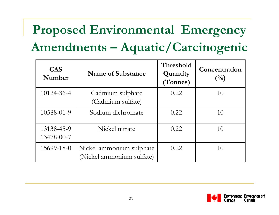| <b>CAS</b><br>Number     | <b>Name of Substance</b>                              | Threshold<br>Quantity<br>(Tonnes) | Concentration<br>$\binom{0}{0}$ |
|--------------------------|-------------------------------------------------------|-----------------------------------|---------------------------------|
| 10124-36-4               | Cadmium sulphate<br>(Cadmium sulfate)                 | 0.22                              | 10                              |
| 10588-01-9               | Sodium dichromate                                     | 0.22                              | 10                              |
| 13138-45-9<br>13478-00-7 | Nickel nitrate                                        | 0.22                              | 10                              |
| 15699-18-0               | Nickel ammonium sulphate<br>(Nickel ammonium sulfate) | 0.22                              | 10                              |

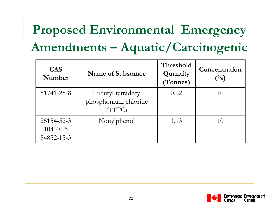| <b>CAS</b><br>Number                       | Name of Substance                                     | Threshold<br>Quantity<br>(Tonnes) | Concentration<br>$\binom{0}{0}$ |
|--------------------------------------------|-------------------------------------------------------|-----------------------------------|---------------------------------|
| 81741-28-8                                 | Tributyl tetradecyl<br>phosphonium chloride<br>(TTPC) | 0.22                              | 10                              |
| 25154-52-3<br>$104 - 40 - 5$<br>84852-15-3 | Nonylphenol                                           | 1.13                              | 10                              |

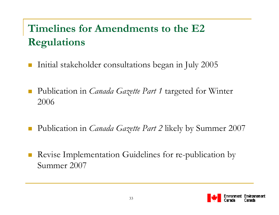#### **Timelines for Amendments to the E2 Regulations**

- $\mathcal{L}_{\mathcal{A}}$ Initial stakeholder consultations began in July 2005
- $\mathcal{L}_{\mathcal{A}}$  Publication in *Canada Gazette Part 1* targeted for Winter 2006
- $\mathcal{L}_{\mathcal{A}}$ Publication in *Canada Gazette Part 2* likely by Summer 2007
- $\mathcal{L}_{\mathcal{A}}$  Revise Implementation Guidelines for re-publication by Summer 2007

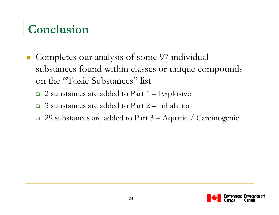#### **Conclusion**

- Completes our analysis of some 97 individual substances found within classes or unique compounds on the "Toxic Substances" list
	- $\Box$  2 substances are added to Part 1 Explosive
	- $\Box$ 3 substances are added to Part 2 – Inhalation
	- 29 substances are added to Part 3 Aquatic / Carcinogenic